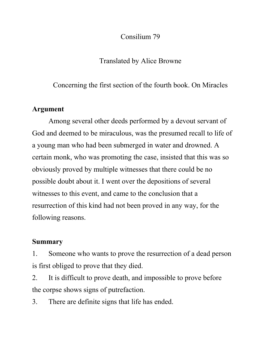### Consilium 79

# Translated by Alice Browne

# Concerning the first section of the fourth book. On Miracles

## **Argument**

Among several other deeds performed by a devout servant of God and deemed to be miraculous, was the presumed recall to life of a young man who had been submerged in water and drowned. A certain monk, who was promoting the case, insisted that this was so obviously proved by multiple witnesses that there could be no possible doubt about it. I went over the depositions of several witnesses to this event, and came to the conclusion that a resurrection of this kind had not been proved in any way, for the following reasons.

## **Summary**

1. Someone who wants to prove the resurrection of a dead person is first obliged to prove that they died.

2. It is difficult to prove death, and impossible to prove before the corpse shows signs of putrefaction.

3. There are definite signs that life has ended.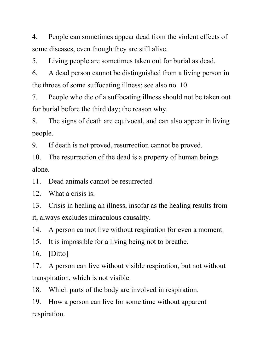4. People can sometimes appear dead from the violent effects of some diseases, even though they are still alive.

5. Living people are sometimes taken out for burial as dead.

6. A dead person cannot be distinguished from a living person in the throes of some suffocating illness; see also no. 10.

7. People who die of a suffocating illness should not be taken out for burial before the third day; the reason why.

8. The signs of death are equivocal, and can also appear in living people.

9. If death is not proved, resurrection cannot be proved.

10. The resurrection of the dead is a property of human beings alone.

11. Dead animals cannot be resurrected.

12. What a crisis is.

13. Crisis in healing an illness, insofar as the healing results from it, always excludes miraculous causality.

14. A person cannot live without respiration for even a moment.

15. It is impossible for a living being not to breathe.

16. [Ditto]

17. A person can live without visible respiration, but not without transpiration, which is not visible.

18. Which parts of the body are involved in respiration.

19. How a person can live for some time without apparent respiration.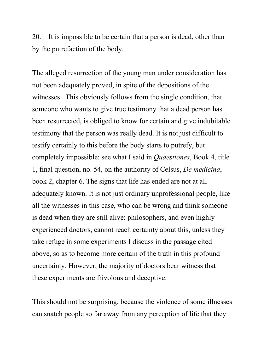20. It is impossible to be certain that a person is dead, other than by the putrefaction of the body.

The alleged resurrection of the young man under consideration has not been adequately proved, in spite of the depositions of the witnesses. This obviously follows from the single condition, that someone who wants to give true testimony that a dead person has been resurrected, is obliged to know for certain and give indubitable testimony that the person was really dead. It is not just difficult to testify certainly to this before the body starts to putrefy, but completely impossible: see what I said in *Quaestiones*, Book 4, title 1, final question, no. 54, on the authority of Celsus, *De medicina*, book 2, chapter 6. The signs that life has ended are not at all adequately known. It is not just ordinary unprofessional people, like all the witnesses in this case, who can be wrong and think someone is dead when they are still alive: philosophers, and even highly experienced doctors, cannot reach certainty about this, unless they take refuge in some experiments I discuss in the passage cited above, so as to become more certain of the truth in this profound uncertainty. However, the majority of doctors bear witness that these experiments are frivolous and deceptive.

This should not be surprising, because the violence of some illnesses can snatch people so far away from any perception of life that they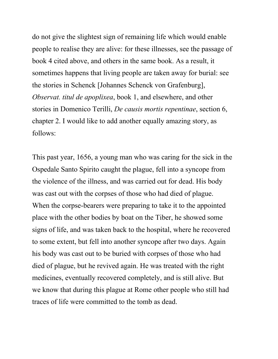do not give the slightest sign of remaining life which would enable people to realise they are alive: for these illnesses, see the passage of book 4 cited above, and others in the same book. As a result, it sometimes happens that living people are taken away for burial: see the stories in Schenck [Johannes Schenck von Grafenburg], *Observat. titul de apoplixea*, book 1, and elsewhere, and other stories in Domenico Terilli, *De causis mortis repentinae*, section 6, chapter 2. I would like to add another equally amazing story, as follows:

This past year, 1656, a young man who was caring for the sick in the Ospedale Santo Spirito caught the plague, fell into a syncope from the violence of the illness, and was carried out for dead. His body was cast out with the corpses of those who had died of plague. When the corpse-bearers were preparing to take it to the appointed place with the other bodies by boat on the Tiber, he showed some signs of life, and was taken back to the hospital, where he recovered to some extent, but fell into another syncope after two days. Again his body was cast out to be buried with corpses of those who had died of plague, but he revived again. He was treated with the right medicines, eventually recovered completely, and is still alive. But we know that during this plague at Rome other people who still had traces of life were committed to the tomb as dead.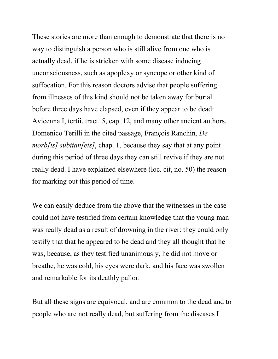These stories are more than enough to demonstrate that there is no way to distinguish a person who is still alive from one who is actually dead, if he is stricken with some disease inducing unconsciousness, such as apoplexy or syncope or other kind of suffocation. For this reason doctors advise that people suffering from illnesses of this kind should not be taken away for burial before three days have elapsed, even if they appear to be dead: Avicenna I, tertii, tract. 5, cap. 12, and many other ancient authors. Domenico Terilli in the cited passage, François Ranchin, *De morb[is] subitan[eis]*, chap. 1, because they say that at any point during this period of three days they can still revive if they are not really dead. I have explained elsewhere (loc. cit, no. 50) the reason for marking out this period of time.

We can easily deduce from the above that the witnesses in the case could not have testified from certain knowledge that the young man was really dead as a result of drowning in the river: they could only testify that that he appeared to be dead and they all thought that he was, because, as they testified unanimously, he did not move or breathe, he was cold, his eyes were dark, and his face was swollen and remarkable for its deathly pallor.

But all these signs are equivocal, and are common to the dead and to people who are not really dead, but suffering from the diseases I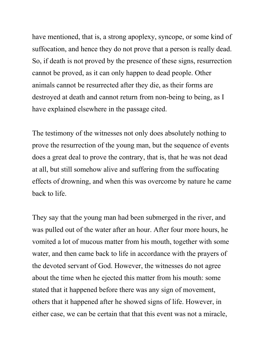have mentioned, that is, a strong apoplexy, syncope, or some kind of suffocation, and hence they do not prove that a person is really dead. So, if death is not proved by the presence of these signs, resurrection cannot be proved, as it can only happen to dead people. Other animals cannot be resurrected after they die, as their forms are destroyed at death and cannot return from non-being to being, as I have explained elsewhere in the passage cited.

The testimony of the witnesses not only does absolutely nothing to prove the resurrection of the young man, but the sequence of events does a great deal to prove the contrary, that is, that he was not dead at all, but still somehow alive and suffering from the suffocating effects of drowning, and when this was overcome by nature he came back to life.

They say that the young man had been submerged in the river, and was pulled out of the water after an hour. After four more hours, he vomited a lot of mucous matter from his mouth, together with some water, and then came back to life in accordance with the prayers of the devoted servant of God. However, the witnesses do not agree about the time when he ejected this matter from his mouth: some stated that it happened before there was any sign of movement, others that it happened after he showed signs of life. However, in either case, we can be certain that that this event was not a miracle,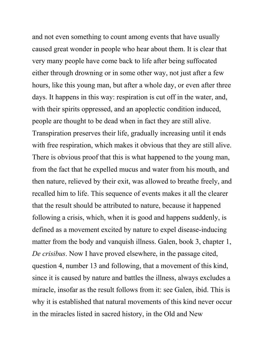and not even something to count among events that have usually caused great wonder in people who hear about them. It is clear that very many people have come back to life after being suffocated either through drowning or in some other way, not just after a few hours, like this young man, but after a whole day, or even after three days. It happens in this way: respiration is cut off in the water, and, with their spirits oppressed, and an apoplectic condition induced, people are thought to be dead when in fact they are still alive. Transpiration preserves their life, gradually increasing until it ends with free respiration, which makes it obvious that they are still alive. There is obvious proof that this is what happened to the young man, from the fact that he expelled mucus and water from his mouth, and then nature, relieved by their exit, was allowed to breathe freely, and recalled him to life. This sequence of events makes it all the clearer that the result should be attributed to nature, because it happened following a crisis, which, when it is good and happens suddenly, is defined as a movement excited by nature to expel disease-inducing matter from the body and vanquish illness. Galen, book 3, chapter 1, *De crisibus*. Now I have proved elsewhere, in the passage cited, question 4, number 13 and following, that a movement of this kind, since it is caused by nature and battles the illness, always excludes a miracle, insofar as the result follows from it: see Galen, ibid. This is why it is established that natural movements of this kind never occur in the miracles listed in sacred history, in the Old and New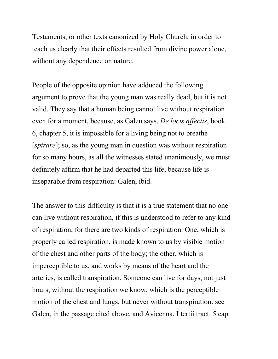Testaments, or other texts canonized by Holy Church, in order to teach us clearly that their effects resulted from divine power alone, without any dependence on nature.

People of the opposite opinion have adduced the following argument to prove that the young man was really dead, but it is not valid. They say that a human being cannot live without respiration even for a moment, because, as Galen says, *De locis affectis*, book 6, chapter 5, it is impossible for a living being not to breathe [*spirare*]; so, as the young man in question was without respiration for so many hours, as all the witnesses stated unanimously, we must definitely affirm that he had departed this life, because life is inseparable from respiration: Galen, ibid.

The answer to this difficulty is that it is a true statement that no one can live without respiration, if this is understood to refer to any kind of respiration, for there are two kinds of respiration. One, which is properly called respiration, is made known to us by visible motion of the chest and other parts of the body; the other, which is imperceptible to us, and works by means of the heart and the arteries, is called transpiration. Someone can live for days, not just hours, without the respiration we know, which is the perceptible motion of the chest and lungs, but never without transpiration: see Galen, in the passage cited above, and Avicenna, I tertii tract. 5 cap.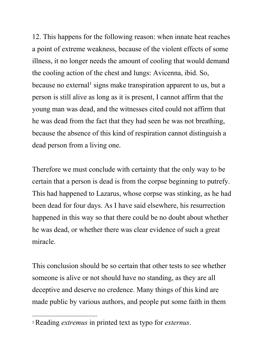12. This happens for the following reason: when innate heat reaches a point of extreme weakness, because of the violent effects of some illness, it no longer needs the amount of cooling that would demand the cooling action of the chest and lungs: Avicenna, ibid. So, because no external<sup>1</sup> signs make transpiration apparent to us, but a person is still alive as long as it is present, I cannot affirm that the young man was dead, and the witnesses cited could not affirm that he was dead from the fact that they had seen he was not breathing, because the absence of this kind of respiration cannot distinguish a dead person from a living one.

Therefore we must conclude with certainty that the only way to be certain that a person is dead is from the corpse beginning to putrefy. This had happened to Lazarus, whose corpse was stinking, as he had been dead for four days. As I have said elsewhere, his resurrection happened in this way so that there could be no doubt about whether he was dead, or whether there was clear evidence of such a great miracle.

This conclusion should be so certain that other tests to see whether someone is alive or not should have no standing, as they are all deceptive and deserve no credence. Many things of this kind are made public by various authors, and people put some faith in them

 

<sup>1</sup>Reading *extremus* in printed text as typo for *externus*.